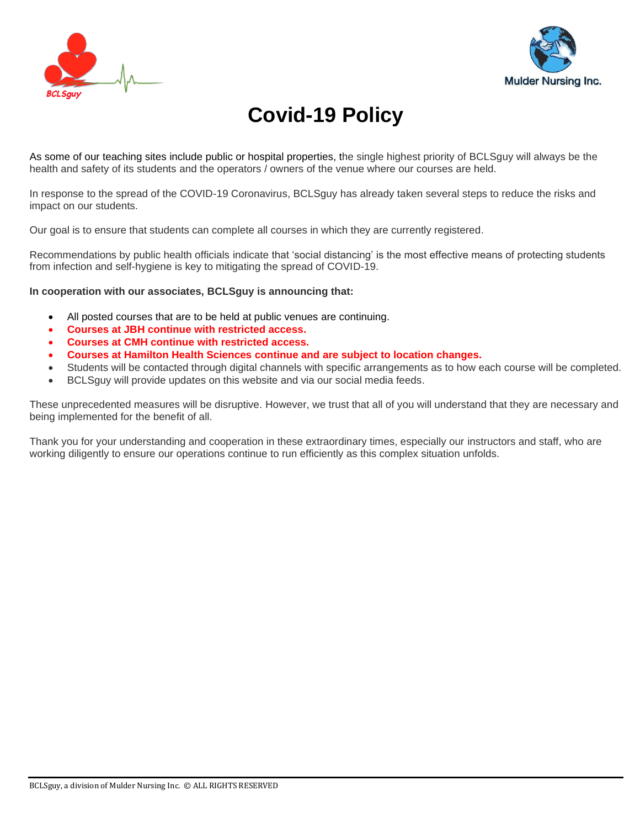



# **Covid-19 Policy**

As some of our teaching sites include public or hospital properties, the single highest priority of BCLSguy will always be the health and safety of its students and the operators / owners of the venue where our courses are held.

In response to the spread of the COVID-19 Coronavirus, BCLSguy has already taken several steps to reduce the risks and impact on our students.

Our goal is to ensure that students can complete all courses in which they are currently registered.

Recommendations by public health officials indicate that 'social distancing' is the most effective means of protecting students from infection and self-hygiene is key to mitigating the spread of COVID-19.

**In cooperation with our associates, BCLSguy is announcing that:**

- All posted courses that are to be held at public venues are continuing.
- **Courses at JBH continue with restricted access.**
- **Courses at CMH continue with restricted access.**
- **Courses at Hamilton Health Sciences continue and are subject to location changes.**
- Students will be contacted through digital channels with specific arrangements as to how each course will be completed.
- BCLSguy will provide updates on this website and via our social media feeds.

These unprecedented measures will be disruptive. However, we trust that all of you will understand that they are necessary and being implemented for the benefit of all.

Thank you for your understanding and cooperation in these extraordinary times, especially our instructors and staff, who are working diligently to ensure our operations continue to run efficiently as this complex situation unfolds.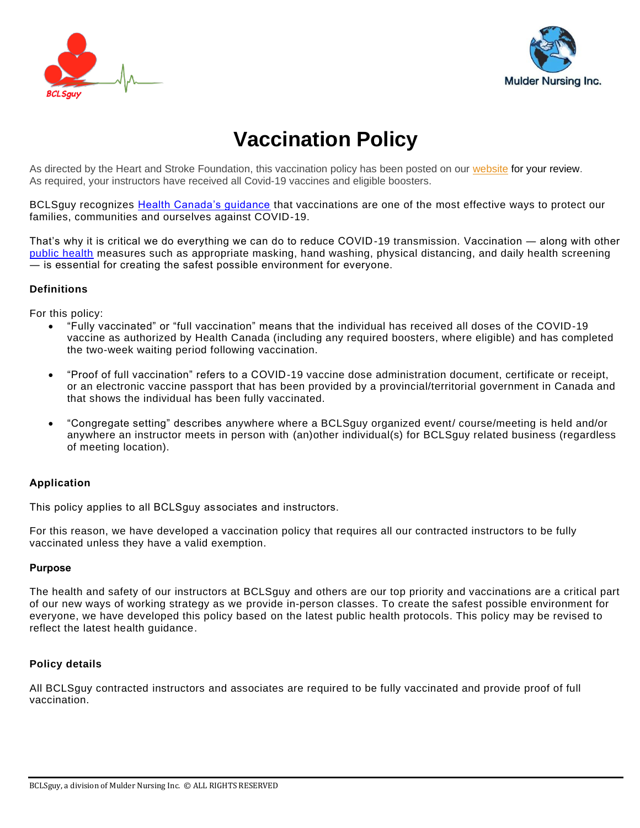



# **Vaccination Policy**

As directed by the Heart and Stroke Foundation, this vaccination policy has been posted on our [website](https://bclsguy.com/) for your review. As required, your instructors have received all Covid-19 vaccines and eligible boosters.

BCLSguy recognizes **Health Canada's guidance that vaccinations are one of the most effective ways to protect our** families, communities and ourselves against COVID-19.

That's why it is critical we do everything we can do to reduce COVID-19 transmission. Vaccination ― along with other [public health](https://www.publichealthontario.ca/) measures such as appropriate masking, hand washing, physical distancing, and daily health screening ― is essential for creating the safest possible environment for everyone.

## **Definitions**

For this policy:

- "Fully vaccinated" or "full vaccination" means that the individual has received all doses of the COVID-19 vaccine as authorized by Health Canada (including any required boosters, where eligible) and has completed the two-week waiting period following vaccination.
- "Proof of full vaccination" refers to a COVID-19 vaccine dose administration document, certificate or receipt, or an electronic vaccine passport that has been provided by a provincial/territorial government in Canada and that shows the individual has been fully vaccinated.
- "Congregate setting" describes anywhere where a BCLSguy organized event/ course/meeting is held and/or anywhere an instructor meets in person with (an)other individual(s) for BCLSguy related business (regardless of meeting location).

# **Application**

This policy applies to all BCLSguy associates and instructors.

For this reason, we have developed a vaccination policy that requires all our contracted instructors to be fully vaccinated unless they have a valid exemption.

# **Purpose**

The health and safety of our instructors at BCLSguy and others are our top priority and vaccinations are a critical part of our new ways of working strategy as we provide in-person classes. To create the safest possible environment for everyone, we have developed this policy based on the latest public health protocols. This policy may be revised to reflect the latest health guidance.

# **Policy details**

All BCLSguy contracted instructors and associates are required to be fully vaccinated and provide proof of full vaccination.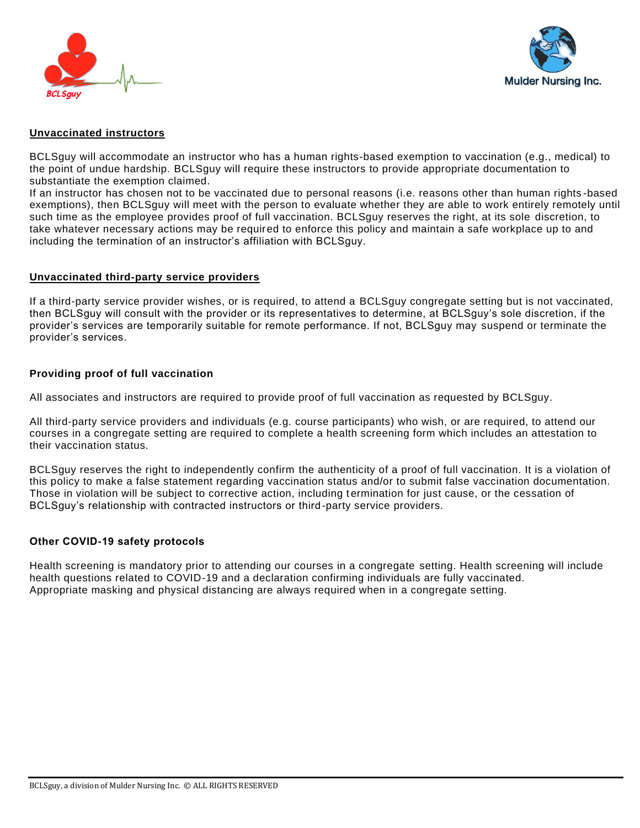



# **Unvaccinated instructors**

BCLSguy will accommodate an instructor who has a human rights-based exemption to vaccination (e.g., medical) to the point of undue hardship. BCLSguy will require these instructors to provide appropriate documentation to substantiate the exemption claimed.

If an instructor has chosen not to be vaccinated due to personal reasons (i.e. reasons other than human rights -based exemptions), then BCLSguy will meet with the person to evaluate whether they are able to work entirely remotely until such time as the employee provides proof of full vaccination. BCLSguy reserves the right, at its sole discretion, to take whatever necessary actions may be required to enforce this policy and maintain a safe workplace up to and including the termination of an instructor's affiliation with BCLSguy.

#### **Unvaccinated third-party service providers**

If a third-party service provider wishes, or is required, to attend a BCLSguy congregate setting but is not vaccinated, then BCLSguy will consult with the provider or its representatives to determine, at BCLSguy's sole discretion, if the provider's services are temporarily suitable for remote performance. If not, BCLSguy may suspend or terminate the provider's services.

#### **Providing proof of full vaccination**

All associates and instructors are required to provide proof of full vaccination as requested by BCLSguy.

All third-party service providers and individuals (e.g. course participants) who wish, or are required, to attend our courses in a congregate setting are required to complete a health screening form which includes an attestation to their vaccination status.

BCLSguy reserves the right to independently confirm the authenticity of a proof of full vaccination. It is a violation of this policy to make a false statement regarding vaccination status and/or to submit false vaccination documentation. Those in violation will be subject to corrective action, including termination for just cause, or the cessation of BCLSguy's relationship with contracted instructors or third-party service providers.

#### **Other COVID-19 safety protocols**

Health screening is mandatory prior to attending our courses in a congregate setting. Health screening will include health questions related to COVID-19 and a declaration confirming individuals are fully vaccinated. Appropriate masking and physical distancing are always required when in a congregate setting.